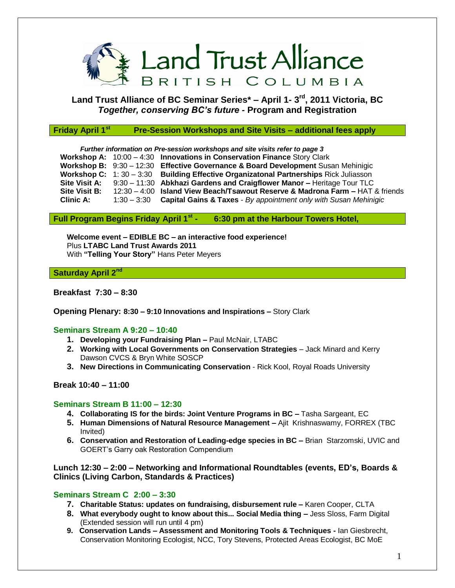

# **Land Trust Alliance of BC Seminar Series\* – April 1- 3 rd, 2011 Victoria, BC** *Together, conserving BC's future -* **Program and Registration**

#### **Friday April 1st Pre-Session Workshops and Site Visits – additional fees apply**

*Further information on Pre-session workshops and site visits refer to page 3* **Workshop A:** 10:00 – 4:30 **Innovations in Conservation Finance** Story Clark **Workshop B:** 9:30 – 12:30 **Effective Governance & Board Development** Susan Mehinigic **Workshop C:** 1: 30 – 3:30 **Building Effective Organizatonal Partnerships** Rick Juliasson **Site Visit A:** 9:30 – 11:30 **Abkhazi Gardens and Craigflower Manor –** Heritage Tour TLC **Site Visit B:** 12:30 – 4:00 **Island View Beach/Tsawout Reserve & Madrona Farm –** HAT & friends **Clinic A:** 1:30 – 3:30 **Capital Gains & Taxes** - *By appointment only with Susan Mehinigic*

# **Full Program Begins Friday April 1st - 6:30 pm at the Harbour Towers Hotel,**

**Welcome event – EDIBLE BC – an interactive food experience!** Plus **LTABC Land Trust Awards 2011** With **"Telling Your Story"** Hans Peter Meyers

#### **Saturday April 2nd**

## **Breakfast 7:30 – 8:30**

**Opening Plenary: 8:30 – 9:10 Innovations and Inspirations –** Story Clark

#### **Seminars Stream A 9:20 – 10:40**

- **1. Developing your Fundraising Plan –** Paul McNair, LTABC
- 2. Working with Local Governments on Conservation Strategies Jack Minard and Kerry Dawson CVCS & Bryn White SOSCP
- **3. New Directions in Communicating Conservation** Rick Kool, Royal Roads University

## **Break 10:40 – 11:00**

# **Seminars Stream B 11:00 – 12:30**

- **4. Collaborating IS for the birds: Joint Venture Programs in BC –** Tasha Sargeant, EC
- **5. Human Dimensions of Natural Resource Management –** Ajit Krishnaswamy, FORREX (TBC Invited)
- **6. Conservation and Restoration of Leading-edge species in BC –** Brian Starzomski, UVIC and GOERT's Garry oak Restoration Compendium

# **Lunch 12:30 – 2:00 – Networking and Informational Roundtables (events, ED's, Boards & Clinics (Living Carbon, Standards & Practices)**

#### **Seminars Stream C 2:00 – 3:30**

- **7. Charitable Status: updates on fundraising, disbursement rule –** Karen Cooper, CLTA
- **8. What everybody ought to know about this... Social Media thing –** Jess Sloss, Farm Digital (Extended session will run until 4 pm)
- **9. Conservation Lands – Assessment and Monitoring Tools & Techniques -** Ian Giesbrecht, Conservation Monitoring Ecologist, NCC, Tory Stevens, Protected Areas Ecologist, BC MoE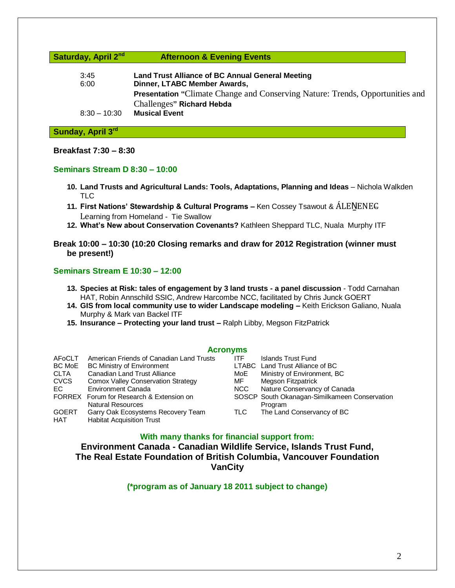**Saturday, April 2nd Afternoon & Evening Events** 

| 3:45           | <b>Land Trust Alliance of BC Annual General Meeting</b>                              |  |  |
|----------------|--------------------------------------------------------------------------------------|--|--|
| 6:00           | Dinner, LTABC Member Awards,                                                         |  |  |
|                | <b>Presentation</b> "Climate Change and Conserving Nature: Trends, Opportunities and |  |  |
|                | Challenges" Richard Hebda                                                            |  |  |
| $8:30 - 10:30$ | <b>Musical Event</b>                                                                 |  |  |

# **Sunday, April 3rd**

#### **Breakfast 7:30 – 8:30**

#### **Seminars Stream D 8:30 – 10:00**

- **10. Land Trusts and Agricultural Lands: Tools, Adaptations, Planning and Ideas** Nichola Walkden TLC
- **11. First Nations' Stewardship & Cultural Programs –** Ken Cossey Tsawout & ALENENEC Learning from Homeland - Tie Swallow
- **12. What's New about Conservation Covenants?** Kathleen Sheppard TLC, Nuala Murphy ITF
- **Break 10:00 – 10:30 (10:20 Closing remarks and draw for 2012 Registration (winner must be present!)**

#### **Seminars Stream E 10:30 – 12:00**

- **13. Species at Risk: tales of engagement by 3 land trusts - a panel discussion** Todd Carnahan HAT, Robin Annschild SSIC, Andrew Harcombe NCC, facilitated by Chris Junck GOERT
- **14. GIS from local community use to wider Landscape modeling –** Keith Erickson Galiano, Nuala Murphy & Mark van Backel ITF
- **15. Insurance – Protecting your land trust –** Ralph Libby, Megson FitzPatrick

#### **Acronyms**

| AFoCLT       | American Friends of Canadian Land Trusts  | ITF. | Islands Trust Fund                            |
|--------------|-------------------------------------------|------|-----------------------------------------------|
| BC MoE       | <b>BC Ministry of Environment</b>         |      | LTABC Land Trust Alliance of BC               |
| <b>CLTA</b>  | <b>Canadian Land Trust Alliance</b>       | MoE  | Ministry of Environment, BC                   |
| <b>CVCS</b>  | <b>Comox Valley Conservation Strategy</b> | MF   | Megson Fitzpatrick                            |
| EC.          | Environment Canada                        | NCC  | Nature Conservancy of Canada                  |
|              | FORREX Forum for Research & Extension on  |      | SOSCP South Okanagan-Similkameen Conservation |
|              | <b>Natural Resources</b>                  |      | Program                                       |
| <b>GOERT</b> | Garry Oak Ecosystems Recovery Team        | TLC  | The Land Conservancy of BC                    |
| HAT          | <b>Habitat Acquisition Trust</b>          |      |                                               |

### **With many thanks for financial support from:**

**Environment Canada - Canadian Wildlife Service, Islands Trust Fund, The Real Estate Foundation of British Columbia, Vancouver Foundation VanCity**

**(\*program as of January 18 2011 subject to change)**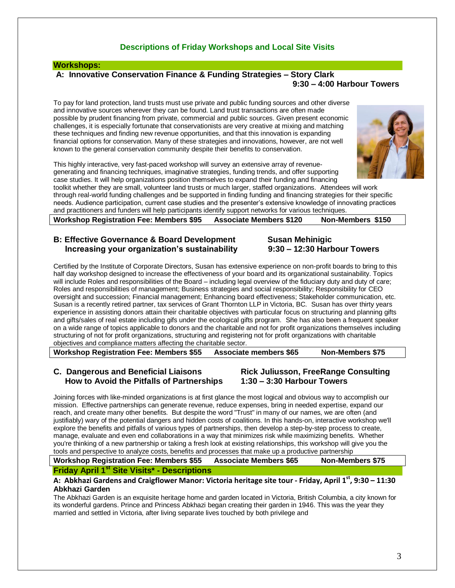# **Descriptions of Friday Workshops and Local Site Visits**

#### **Workshops:**

#### **A: Innovative Conservation Finance & Funding Strategies – Story Clark 9:30 – 4:00 Harbour Towers**

To pay for land protection, land trusts must use private and public funding sources and other diverse and innovative sources wherever they can be found. Land trust transactions are often made possible by prudent financing from private, commercial and public sources. Given present economic challenges, it is especially fortunate that conservationists are very creative at mixing and matching these techniques and finding new revenue opportunities, and that this innovation is expanding financial options for conservation. Many of these strategies and innovations, however, are not well known to the general conservation community despite their benefits to conservation.

This highly interactive, very fast-paced workshop will survey an extensive array of revenuegenerating and financing techniques, imaginative strategies, funding trends, and offer supporting case studies. It will help organizations position themselves to expand their funding and financing toolkit whether they are small, volunteer land trusts or much larger, staffed organizations. Attendees will work

through real-world funding challenges and be supported in finding funding and financing strategies for their specific needs. Audience participation, current case studies and the presenter's extensive knowledge of innovating practices and practitioners and funders will help participants identify support networks for various techniques.

| <b>Workshop Registration Fee: Members \$95</b> | <b>Associate Members \$120</b> | Non-Members \$150 |
|------------------------------------------------|--------------------------------|-------------------|
|------------------------------------------------|--------------------------------|-------------------|

#### **B: Effective Governance & Board Development Susan Mehinigic Increasing your organization's sustainability 9:30 – 12:30 Harbour Towers**

Certified by the Institute of Corporate Directors, Susan has extensive experience on non-profit boards to bring to this half day workshop designed to increase the effectiveness of your board and its organizational sustainability. Topics will include Roles and responsibilities of the Board – including legal overview of the fiduciary duty and duty of care; Roles and responsibilities of management; Business strategies and social responsibility; Responsibility for CEO oversight and succession; Financial management; Enhancing board effectiveness; Stakeholder communication, etc. Susan is a recently retired partner, tax services of Grant Thornton LLP in Victoria, BC. Susan has over thirty years experience in assisting donors attain their charitable objectives with particular focus on structuring and planning gifts and gifts/sales of real estate including gifs under the ecological gifts program. She has also been a frequent speaker on a wide range of topics applicable to donors and the charitable and not for profit organizations themselves including structuring of not for profit organizations, structuring and registering not for profit organizations with charitable objectives and compliance matters affecting the charitable sector.

**Workshop Registration Fee: Members \$55 Associate members \$65 Non-Members \$75**

#### **C. Dangerous and Beneficial Liaisons Rick Juliusson, FreeRange Consulting How to Avoid the Pitfalls of Partnerships 1:30 – 3:30 Harbour Towers**

Joining forces with like-minded organizations is at first glance the most logical and obvious way to accomplish our mission. Effective partnerships can generate revenue, reduce expenses, bring in needed expertise, expand our reach, and create many other benefits. But despite the word "Trust" in many of our names, we are often (and justifiably) wary of the potential dangers and hidden costs of coalitions. In this hands-on, interactive workshop we'll explore the benefits and pitfalls of various types of partnerships, then develop a step-by-step process to create, manage, evaluate and even end collaborations in a way that minimizes risk while maximizing benefits. Whether you're thinking of a new partnership or taking a fresh look at existing relationships, this workshop will give you the tools and perspective to analyze costs, benefits and processes that make up a productive partnership

**Workshop Registration Fee: Members \$55 Associate Members \$65 Non-Members \$75 Friday April 1st Site Visits\* - Descriptions** 

#### **A: Abkhazi Gardens and Craigflower Manor: Victoria heritage site tour - Friday, April 1st , 9:30 – 11:30 Abkhazi Garden**

The Abkhazi Garden is an exquisite heritage home and garden located in Victoria, British Columbia, a city known for its wonderful gardens. Prince and Princess Abkhazi began creating their garden in 1946. This was the year they married and settled in Victoria, after living separate lives touched by both privilege and